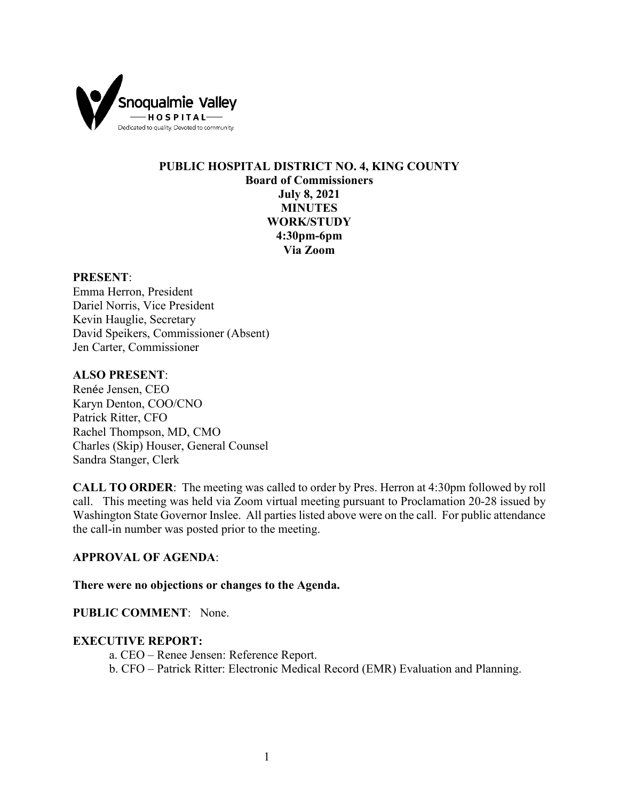

# **PUBLIC HOSPITAL DISTRICT NO. 4, KING COUNTY Board of Commissioners July 8, 2021 MINUTES WORK/STUDY 4:30pm-6pm Via Zoom**

### **PRESENT**:

Emma Herron, President Dariel Norris, Vice President Kevin Hauglie, Secretary David Speikers, Commissioner (Absent) Jen Carter, Commissioner

## **ALSO PRESENT**:

Renée Jensen, CEO Karyn Denton, COO/CNO Patrick Ritter, CFO Rachel Thompson, MD, CMO Charles (Skip) Houser, General Counsel Sandra Stanger, Clerk

**CALL TO ORDER**: The meeting was called to order by Pres. Herron at 4:30pm followed by roll call. This meeting was held via Zoom virtual meeting pursuant to Proclamation 20-28 issued by Washington State Governor Inslee. All parties listed above were on the call. For public attendance the call-in number was posted prior to the meeting.

#### **APPROVAL OF AGENDA**:

#### **There were no objections or changes to the Agenda.**

### **PUBLIC COMMENT**: None.

#### **EXECUTIVE REPORT:**

a. CEO – Renee Jensen: Reference Report. b. CFO – Patrick Ritter: Electronic Medical Record (EMR) Evaluation and Planning.